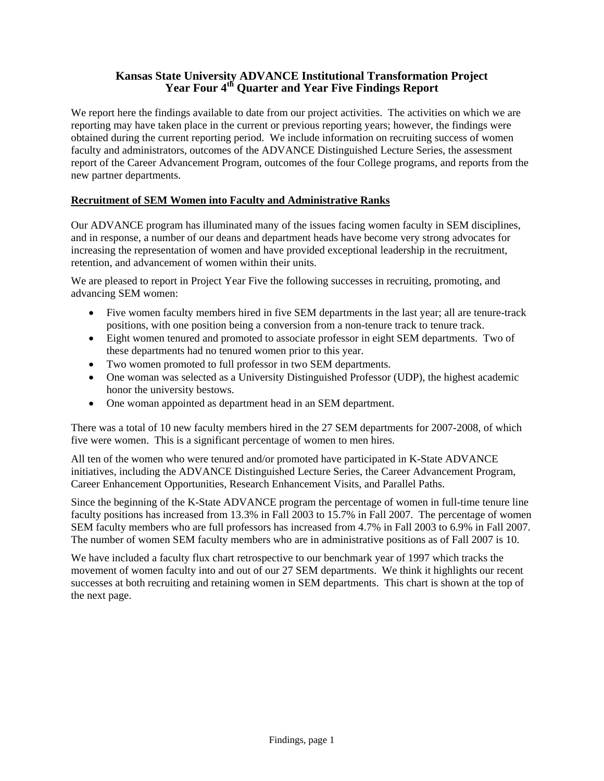# **Kansas State University ADVANCE Institutional Transformation Project**  Year Four 4<sup>th</sup> Quarter and Year Five Findings Report

We report here the findings available to date from our project activities. The activities on which we are reporting may have taken place in the current or previous reporting years; however, the findings were obtained during the current reporting period. We include information on recruiting success of women faculty and administrators, outcomes of the ADVANCE Distinguished Lecture Series, the assessment report of the Career Advancement Program, outcomes of the four College programs, and reports from the new partner departments.

# **Recruitment of SEM Women into Faculty and Administrative Ranks**

Our ADVANCE program has illuminated many of the issues facing women faculty in SEM disciplines, and in response, a number of our deans and department heads have become very strong advocates for increasing the representation of women and have provided exceptional leadership in the recruitment, retention, and advancement of women within their units.

We are pleased to report in Project Year Five the following successes in recruiting, promoting, and advancing SEM women:

- Five women faculty members hired in five SEM departments in the last year; all are tenure-track positions, with one position being a conversion from a non-tenure track to tenure track.
- Eight women tenured and promoted to associate professor in eight SEM departments. Two of these departments had no tenured women prior to this year.
- Two women promoted to full professor in two SEM departments.
- One woman was selected as a University Distinguished Professor (UDP), the highest academic honor the university bestows.
- One woman appointed as department head in an SEM department.

There was a total of 10 new faculty members hired in the 27 SEM departments for 2007-2008, of which five were women. This is a significant percentage of women to men hires.

All ten of the women who were tenured and/or promoted have participated in K-State ADVANCE initiatives, including the ADVANCE Distinguished Lecture Series, the Career Advancement Program, Career Enhancement Opportunities, Research Enhancement Visits, and Parallel Paths.

Since the beginning of the K-State ADVANCE program the percentage of women in full-time tenure line faculty positions has increased from 13.3% in Fall 2003 to 15.7% in Fall 2007. The percentage of women SEM faculty members who are full professors has increased from 4.7% in Fall 2003 to 6.9% in Fall 2007. The number of women SEM faculty members who are in administrative positions as of Fall 2007 is 10.

We have included a faculty flux chart retrospective to our benchmark year of 1997 which tracks the movement of women faculty into and out of our 27 SEM departments. We think it highlights our recent successes at both recruiting and retaining women in SEM departments. This chart is shown at the top of the next page.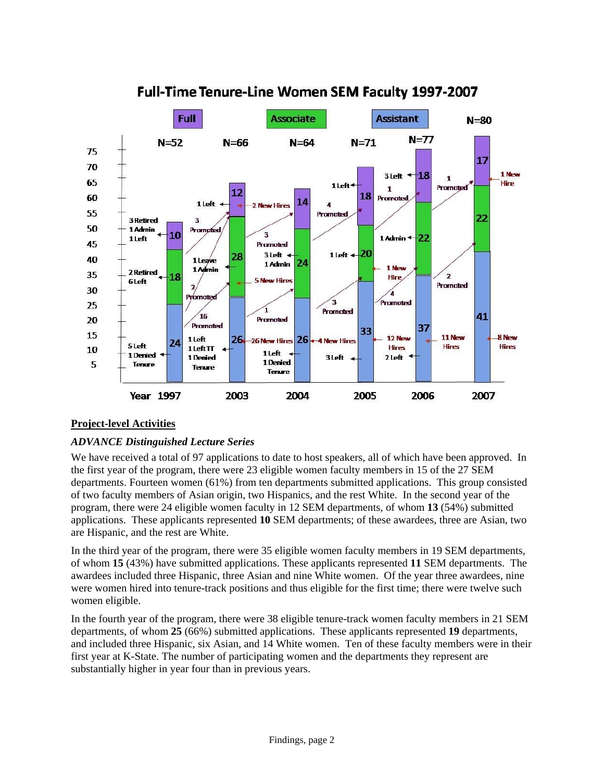

# Full-Time Tenure-Line Women SEM Faculty 1997-2007

# **Project-level Activities**

# *ADVANCE Distinguished Lecture Series*

We have received a total of 97 applications to date to host speakers, all of which have been approved. In the first year of the program, there were 23 eligible women faculty members in 15 of the 27 SEM departments. Fourteen women (61%) from ten departments submitted applications. This group consisted of two faculty members of Asian origin, two Hispanics, and the rest White. In the second year of the program, there were 24 eligible women faculty in 12 SEM departments, of whom **13** (54%) submitted applications. These applicants represented **10** SEM departments; of these awardees, three are Asian, two are Hispanic, and the rest are White.

In the third year of the program, there were 35 eligible women faculty members in 19 SEM departments, of whom **15** (43%) have submitted applications. These applicants represented **11** SEM departments. The awardees included three Hispanic, three Asian and nine White women. Of the year three awardees, nine were women hired into tenure-track positions and thus eligible for the first time; there were twelve such women eligible.

In the fourth year of the program, there were 38 eligible tenure-track women faculty members in 21 SEM departments, of whom **25** (66%) submitted applications. These applicants represented **19** departments, and included three Hispanic, six Asian, and 14 White women. Ten of these faculty members were in their first year at K-State. The number of participating women and the departments they represent are substantially higher in year four than in previous years.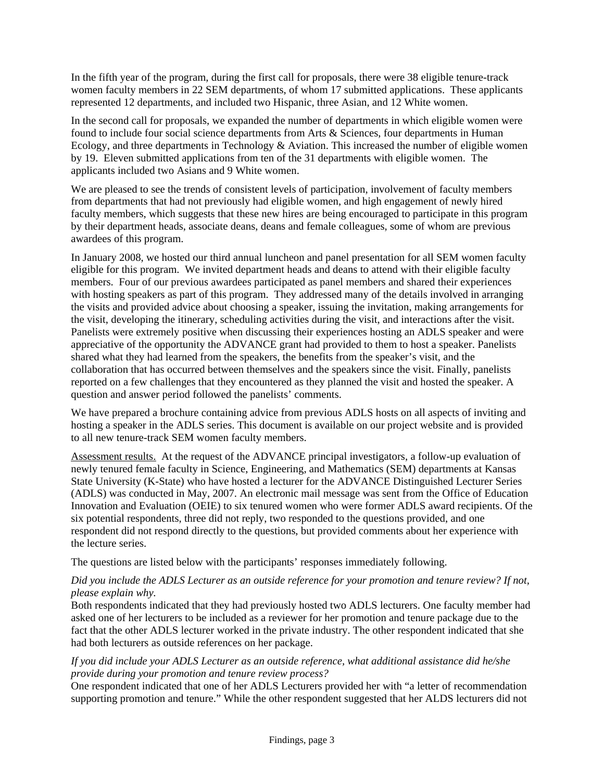In the fifth year of the program, during the first call for proposals, there were 38 eligible tenure-track women faculty members in 22 SEM departments, of whom 17 submitted applications. These applicants represented 12 departments, and included two Hispanic, three Asian, and 12 White women.

In the second call for proposals, we expanded the number of departments in which eligible women were found to include four social science departments from Arts & Sciences, four departments in Human Ecology, and three departments in Technology & Aviation. This increased the number of eligible women by 19. Eleven submitted applications from ten of the 31 departments with eligible women. The applicants included two Asians and 9 White women.

We are pleased to see the trends of consistent levels of participation, involvement of faculty members from departments that had not previously had eligible women, and high engagement of newly hired faculty members, which suggests that these new hires are being encouraged to participate in this program by their department heads, associate deans, deans and female colleagues, some of whom are previous awardees of this program.

In January 2008, we hosted our third annual luncheon and panel presentation for all SEM women faculty eligible for this program. We invited department heads and deans to attend with their eligible faculty members. Four of our previous awardees participated as panel members and shared their experiences with hosting speakers as part of this program. They addressed many of the details involved in arranging the visits and provided advice about choosing a speaker, issuing the invitation, making arrangements for the visit, developing the itinerary, scheduling activities during the visit, and interactions after the visit. Panelists were extremely positive when discussing their experiences hosting an ADLS speaker and were appreciative of the opportunity the ADVANCE grant had provided to them to host a speaker. Panelists shared what they had learned from the speakers, the benefits from the speaker's visit, and the collaboration that has occurred between themselves and the speakers since the visit. Finally, panelists reported on a few challenges that they encountered as they planned the visit and hosted the speaker. A question and answer period followed the panelists' comments.

We have prepared a brochure containing advice from previous ADLS hosts on all aspects of inviting and hosting a speaker in the ADLS series. This document is available on our project website and is provided to all new tenure-track SEM women faculty members.

Assessment results. At the request of the ADVANCE principal investigators, a follow-up evaluation of newly tenured female faculty in Science, Engineering, and Mathematics (SEM) departments at Kansas State University (K-State) who have hosted a lecturer for the ADVANCE Distinguished Lecturer Series (ADLS) was conducted in May, 2007. An electronic mail message was sent from the Office of Education Innovation and Evaluation (OEIE) to six tenured women who were former ADLS award recipients. Of the six potential respondents, three did not reply, two responded to the questions provided, and one respondent did not respond directly to the questions, but provided comments about her experience with the lecture series.

The questions are listed below with the participants' responses immediately following.

# *Did you include the ADLS Lecturer as an outside reference for your promotion and tenure review? If not, please explain why.*

Both respondents indicated that they had previously hosted two ADLS lecturers. One faculty member had asked one of her lecturers to be included as a reviewer for her promotion and tenure package due to the fact that the other ADLS lecturer worked in the private industry. The other respondent indicated that she had both lecturers as outside references on her package.

# *If you did include your ADLS Lecturer as an outside reference, what additional assistance did he/she provide during your promotion and tenure review process?*

One respondent indicated that one of her ADLS Lecturers provided her with "a letter of recommendation supporting promotion and tenure." While the other respondent suggested that her ALDS lecturers did not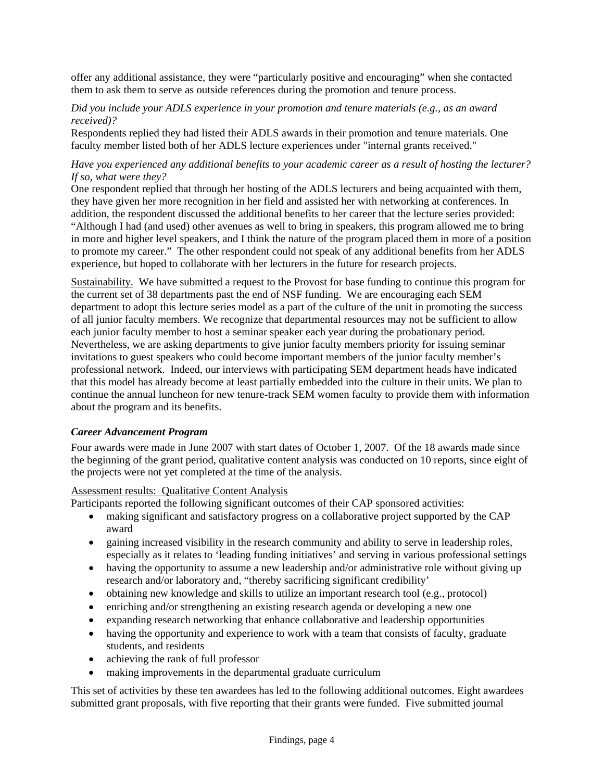offer any additional assistance, they were "particularly positive and encouraging" when she contacted them to ask them to serve as outside references during the promotion and tenure process.

#### *Did you include your ADLS experience in your promotion and tenure materials (e.g., as an award received)?*

Respondents replied they had listed their ADLS awards in their promotion and tenure materials. One faculty member listed both of her ADLS lecture experiences under "internal grants received."

#### *Have you experienced any additional benefits to your academic career as a result of hosting the lecturer? If so, what were they?*

One respondent replied that through her hosting of the ADLS lecturers and being acquainted with them, they have given her more recognition in her field and assisted her with networking at conferences. In addition, the respondent discussed the additional benefits to her career that the lecture series provided: "Although I had (and used) other avenues as well to bring in speakers, this program allowed me to bring in more and higher level speakers, and I think the nature of the program placed them in more of a position to promote my career." The other respondent could not speak of any additional benefits from her ADLS experience, but hoped to collaborate with her lecturers in the future for research projects.

Sustainability. We have submitted a request to the Provost for base funding to continue this program for the current set of 38 departments past the end of NSF funding. We are encouraging each SEM department to adopt this lecture series model as a part of the culture of the unit in promoting the success of all junior faculty members. We recognize that departmental resources may not be sufficient to allow each junior faculty member to host a seminar speaker each year during the probationary period. Nevertheless, we are asking departments to give junior faculty members priority for issuing seminar invitations to guest speakers who could become important members of the junior faculty member's professional network. Indeed, our interviews with participating SEM department heads have indicated that this model has already become at least partially embedded into the culture in their units. We plan to continue the annual luncheon for new tenure-track SEM women faculty to provide them with information about the program and its benefits.

#### *Career Advancement Program*

Four awards were made in June 2007 with start dates of October 1, 2007. Of the 18 awards made since the beginning of the grant period, qualitative content analysis was conducted on 10 reports, since eight of the projects were not yet completed at the time of the analysis.

# Assessment results: Qualitative Content Analysis

Participants reported the following significant outcomes of their CAP sponsored activities:

- making significant and satisfactory progress on a collaborative project supported by the CAP award
- gaining increased visibility in the research community and ability to serve in leadership roles, especially as it relates to 'leading funding initiatives' and serving in various professional settings
- having the opportunity to assume a new leadership and/or administrative role without giving up research and/or laboratory and, "thereby sacrificing significant credibility'
- obtaining new knowledge and skills to utilize an important research tool (e.g., protocol)
- enriching and/or strengthening an existing research agenda or developing a new one
- expanding research networking that enhance collaborative and leadership opportunities
- having the opportunity and experience to work with a team that consists of faculty, graduate students, and residents
- achieving the rank of full professor
- making improvements in the departmental graduate curriculum

This set of activities by these ten awardees has led to the following additional outcomes. Eight awardees submitted grant proposals, with five reporting that their grants were funded. Five submitted journal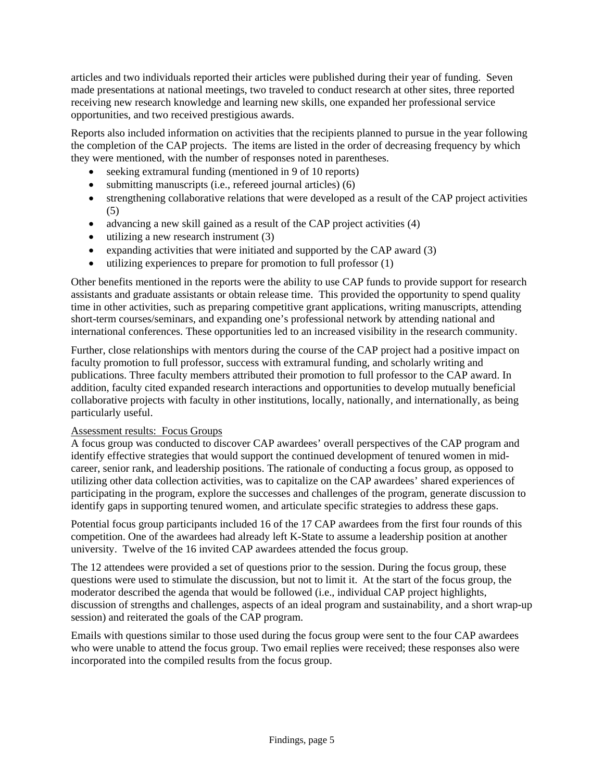articles and two individuals reported their articles were published during their year of funding. Seven made presentations at national meetings, two traveled to conduct research at other sites, three reported receiving new research knowledge and learning new skills, one expanded her professional service opportunities, and two received prestigious awards.

Reports also included information on activities that the recipients planned to pursue in the year following the completion of the CAP projects. The items are listed in the order of decreasing frequency by which they were mentioned, with the number of responses noted in parentheses.

- seeking extramural funding (mentioned in 9 of 10 reports)
- submitting manuscripts (i.e., refereed journal articles) (6)
- strengthening collaborative relations that were developed as a result of the CAP project activities (5)
- advancing a new skill gained as a result of the CAP project activities (4)
- utilizing a new research instrument (3)
- expanding activities that were initiated and supported by the CAP award (3)
- $\bullet$  utilizing experiences to prepare for promotion to full professor (1)

Other benefits mentioned in the reports were the ability to use CAP funds to provide support for research assistants and graduate assistants or obtain release time. This provided the opportunity to spend quality time in other activities, such as preparing competitive grant applications, writing manuscripts, attending short-term courses/seminars, and expanding one's professional network by attending national and international conferences. These opportunities led to an increased visibility in the research community.

Further, close relationships with mentors during the course of the CAP project had a positive impact on faculty promotion to full professor, success with extramural funding, and scholarly writing and publications. Three faculty members attributed their promotion to full professor to the CAP award. In addition, faculty cited expanded research interactions and opportunities to develop mutually beneficial collaborative projects with faculty in other institutions, locally, nationally, and internationally, as being particularly useful.

#### Assessment results: Focus Groups

A focus group was conducted to discover CAP awardees' overall perspectives of the CAP program and identify effective strategies that would support the continued development of tenured women in midcareer, senior rank, and leadership positions. The rationale of conducting a focus group, as opposed to utilizing other data collection activities, was to capitalize on the CAP awardees' shared experiences of participating in the program, explore the successes and challenges of the program, generate discussion to identify gaps in supporting tenured women, and articulate specific strategies to address these gaps.

Potential focus group participants included 16 of the 17 CAP awardees from the first four rounds of this competition. One of the awardees had already left K-State to assume a leadership position at another university. Twelve of the 16 invited CAP awardees attended the focus group.

The 12 attendees were provided a set of questions prior to the session. During the focus group, these questions were used to stimulate the discussion, but not to limit it. At the start of the focus group, the moderator described the agenda that would be followed (i.e., individual CAP project highlights, discussion of strengths and challenges, aspects of an ideal program and sustainability, and a short wrap-up session) and reiterated the goals of the CAP program.

Emails with questions similar to those used during the focus group were sent to the four CAP awardees who were unable to attend the focus group. Two email replies were received; these responses also were incorporated into the compiled results from the focus group.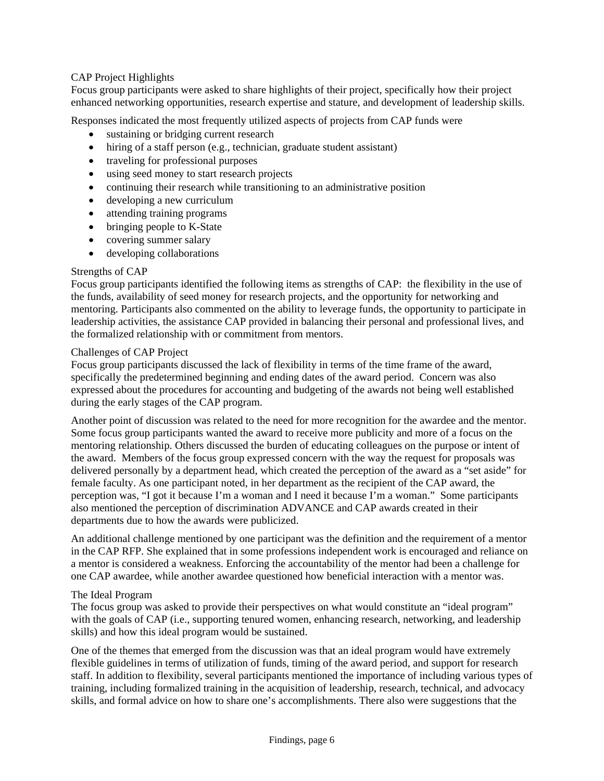# CAP Project Highlights

Focus group participants were asked to share highlights of their project, specifically how their project enhanced networking opportunities, research expertise and stature, and development of leadership skills.

Responses indicated the most frequently utilized aspects of projects from CAP funds were

- sustaining or bridging current research
- hiring of a staff person (e.g., technician, graduate student assistant)
- traveling for professional purposes
- using seed money to start research projects
- continuing their research while transitioning to an administrative position
- developing a new curriculum
- attending training programs
- bringing people to K-State
- covering summer salary
- developing collaborations

#### Strengths of CAP

Focus group participants identified the following items as strengths of CAP: the flexibility in the use of the funds, availability of seed money for research projects, and the opportunity for networking and mentoring. Participants also commented on the ability to leverage funds, the opportunity to participate in leadership activities, the assistance CAP provided in balancing their personal and professional lives, and the formalized relationship with or commitment from mentors.

#### Challenges of CAP Project

Focus group participants discussed the lack of flexibility in terms of the time frame of the award, specifically the predetermined beginning and ending dates of the award period. Concern was also expressed about the procedures for accounting and budgeting of the awards not being well established during the early stages of the CAP program.

Another point of discussion was related to the need for more recognition for the awardee and the mentor. Some focus group participants wanted the award to receive more publicity and more of a focus on the mentoring relationship. Others discussed the burden of educating colleagues on the purpose or intent of the award. Members of the focus group expressed concern with the way the request for proposals was delivered personally by a department head, which created the perception of the award as a "set aside" for female faculty. As one participant noted, in her department as the recipient of the CAP award, the perception was, "I got it because I'm a woman and I need it because I'm a woman." Some participants also mentioned the perception of discrimination ADVANCE and CAP awards created in their departments due to how the awards were publicized.

An additional challenge mentioned by one participant was the definition and the requirement of a mentor in the CAP RFP. She explained that in some professions independent work is encouraged and reliance on a mentor is considered a weakness. Enforcing the accountability of the mentor had been a challenge for one CAP awardee, while another awardee questioned how beneficial interaction with a mentor was.

#### The Ideal Program

The focus group was asked to provide their perspectives on what would constitute an "ideal program" with the goals of CAP (i.e., supporting tenured women, enhancing research, networking, and leadership skills) and how this ideal program would be sustained.

One of the themes that emerged from the discussion was that an ideal program would have extremely flexible guidelines in terms of utilization of funds, timing of the award period, and support for research staff. In addition to flexibility, several participants mentioned the importance of including various types of training, including formalized training in the acquisition of leadership, research, technical, and advocacy skills, and formal advice on how to share one's accomplishments. There also were suggestions that the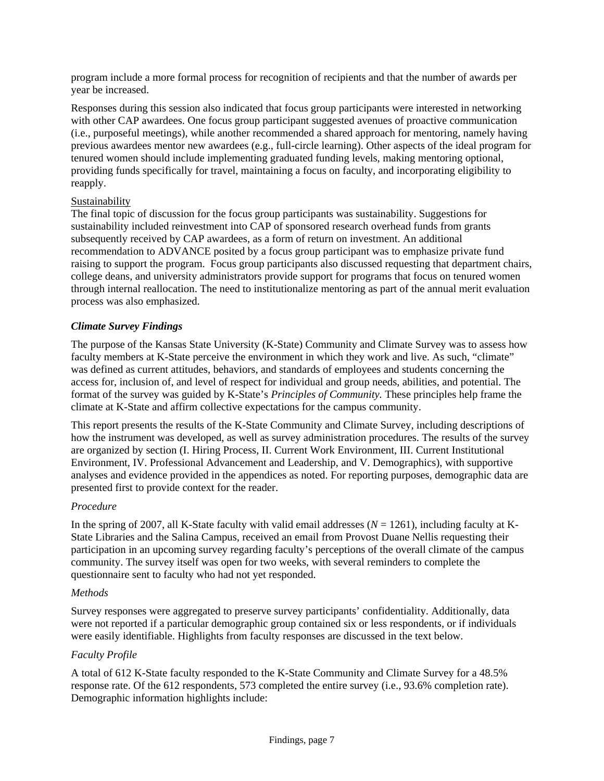program include a more formal process for recognition of recipients and that the number of awards per year be increased.

Responses during this session also indicated that focus group participants were interested in networking with other CAP awardees. One focus group participant suggested avenues of proactive communication (i.e., purposeful meetings), while another recommended a shared approach for mentoring, namely having previous awardees mentor new awardees (e.g., full-circle learning). Other aspects of the ideal program for tenured women should include implementing graduated funding levels, making mentoring optional, providing funds specifically for travel, maintaining a focus on faculty, and incorporating eligibility to reapply.

# Sustainability

The final topic of discussion for the focus group participants was sustainability. Suggestions for sustainability included reinvestment into CAP of sponsored research overhead funds from grants subsequently received by CAP awardees, as a form of return on investment. An additional recommendation to ADVANCE posited by a focus group participant was to emphasize private fund raising to support the program. Focus group participants also discussed requesting that department chairs, college deans, and university administrators provide support for programs that focus on tenured women through internal reallocation. The need to institutionalize mentoring as part of the annual merit evaluation process was also emphasized.

# *Climate Survey Findings*

The purpose of the Kansas State University (K-State) Community and Climate Survey was to assess how faculty members at K-State perceive the environment in which they work and live. As such, "climate" was defined as current attitudes, behaviors, and standards of employees and students concerning the access for, inclusion of, and level of respect for individual and group needs, abilities, and potential. The format of the survey was guided by K-State's *Principles of Community.* These principles help frame the climate at K-State and affirm collective expectations for the campus community.

This report presents the results of the K-State Community and Climate Survey, including descriptions of how the instrument was developed, as well as survey administration procedures. The results of the survey are organized by section (I. Hiring Process, II. Current Work Environment, III. Current Institutional Environment, IV. Professional Advancement and Leadership, and V. Demographics), with supportive analyses and evidence provided in the appendices as noted. For reporting purposes, demographic data are presented first to provide context for the reader.

#### *Procedure*

In the spring of 2007, all K-State faculty with valid email addresses (*N* = 1261), including faculty at K-State Libraries and the Salina Campus, received an email from Provost Duane Nellis requesting their participation in an upcoming survey regarding faculty's perceptions of the overall climate of the campus community. The survey itself was open for two weeks, with several reminders to complete the questionnaire sent to faculty who had not yet responded.

#### *Methods*

Survey responses were aggregated to preserve survey participants' confidentiality. Additionally, data were not reported if a particular demographic group contained six or less respondents, or if individuals were easily identifiable. Highlights from faculty responses are discussed in the text below.

#### *Faculty Profile*

A total of 612 K-State faculty responded to the K-State Community and Climate Survey for a 48.5% response rate. Of the 612 respondents, 573 completed the entire survey (i.e., 93.6% completion rate). Demographic information highlights include: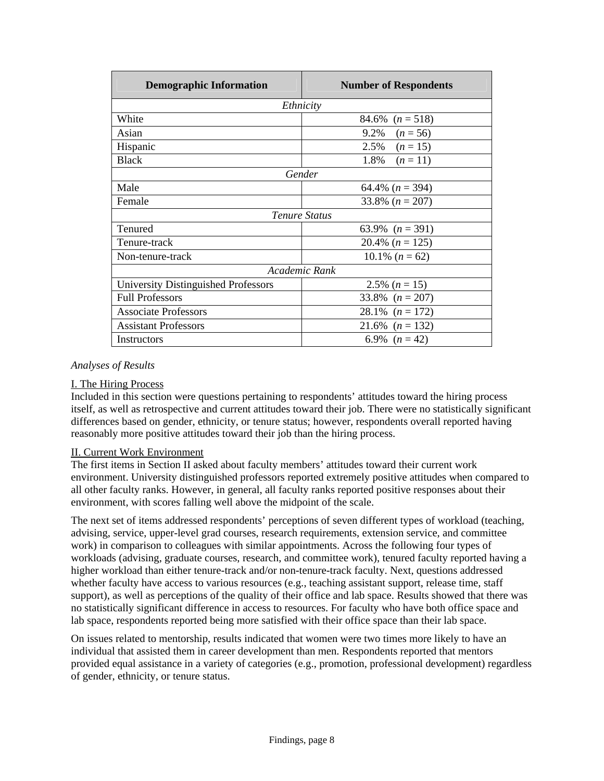| <b>Demographic Information</b>      | <b>Number of Respondents</b> |
|-------------------------------------|------------------------------|
| Ethnicity                           |                              |
| White                               | 84.6% $(n = 518)$            |
| Asian                               | 9.2% $(n = 56)$              |
| Hispanic                            | 2.5%<br>$(n = 15)$           |
| <b>Black</b>                        | 1.8%<br>$(n=11)$             |
| Gender                              |                              |
| Male                                | 64.4% $(n = 394)$            |
| Female                              | 33.8% $(n = 207)$            |
| <b>Tenure Status</b>                |                              |
| Tenured                             | 63.9% $(n = 391)$            |
| Tenure-track                        | 20.4% $(n = 125)$            |
| Non-tenure-track                    | 10.1% $(n = 62)$             |
| Academic Rank                       |                              |
| University Distinguished Professors | 2.5% $(n = 15)$              |
| <b>Full Professors</b>              | 33.8% $(n = 207)$            |
| <b>Associate Professors</b>         | 28.1% $(n = 172)$            |
| <b>Assistant Professors</b>         | 21.6% $(n = 132)$            |
| Instructors                         | 6.9% $(n=42)$                |

#### *Analyses of Results*

#### I. The Hiring Process

Included in this section were questions pertaining to respondents' attitudes toward the hiring process itself, as well as retrospective and current attitudes toward their job. There were no statistically significant differences based on gender, ethnicity, or tenure status; however, respondents overall reported having reasonably more positive attitudes toward their job than the hiring process.

#### II. Current Work Environment

The first items in Section II asked about faculty members' attitudes toward their current work environment. University distinguished professors reported extremely positive attitudes when compared to all other faculty ranks. However, in general, all faculty ranks reported positive responses about their environment, with scores falling well above the midpoint of the scale.

The next set of items addressed respondents' perceptions of seven different types of workload (teaching, advising, service, upper-level grad courses, research requirements, extension service, and committee work) in comparison to colleagues with similar appointments. Across the following four types of workloads (advising, graduate courses, research, and committee work), tenured faculty reported having a higher workload than either tenure-track and/or non-tenure-track faculty. Next, questions addressed whether faculty have access to various resources (e.g., teaching assistant support, release time, staff support), as well as perceptions of the quality of their office and lab space. Results showed that there was no statistically significant difference in access to resources. For faculty who have both office space and lab space, respondents reported being more satisfied with their office space than their lab space.

On issues related to mentorship, results indicated that women were two times more likely to have an individual that assisted them in career development than men. Respondents reported that mentors provided equal assistance in a variety of categories (e.g., promotion, professional development) regardless of gender, ethnicity, or tenure status.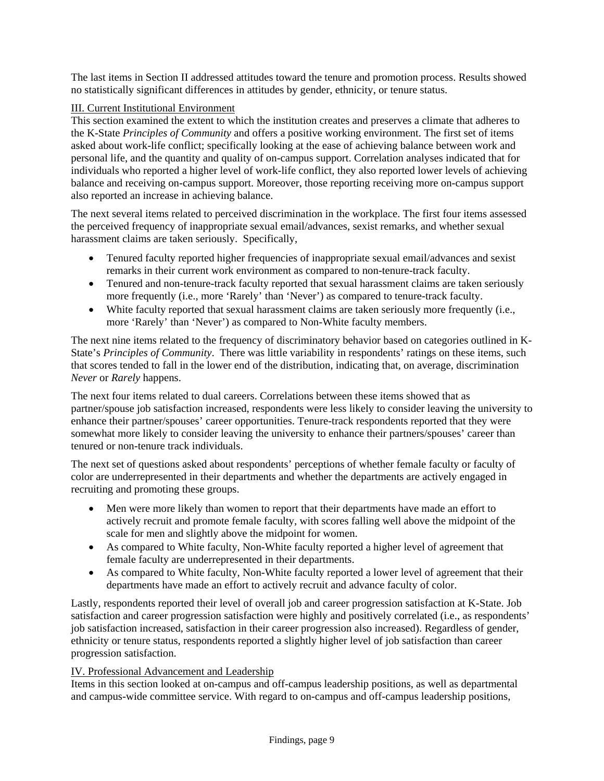The last items in Section II addressed attitudes toward the tenure and promotion process. Results showed no statistically significant differences in attitudes by gender, ethnicity, or tenure status.

# III. Current Institutional Environment

This section examined the extent to which the institution creates and preserves a climate that adheres to the K-State *Principles of Community* and offers a positive working environment. The first set of items asked about work-life conflict; specifically looking at the ease of achieving balance between work and personal life, and the quantity and quality of on-campus support. Correlation analyses indicated that for individuals who reported a higher level of work-life conflict, they also reported lower levels of achieving balance and receiving on-campus support. Moreover, those reporting receiving more on-campus support also reported an increase in achieving balance.

The next several items related to perceived discrimination in the workplace. The first four items assessed the perceived frequency of inappropriate sexual email/advances, sexist remarks, and whether sexual harassment claims are taken seriously. Specifically,

- Tenured faculty reported higher frequencies of inappropriate sexual email/advances and sexist remarks in their current work environment as compared to non-tenure-track faculty.
- Tenured and non-tenure-track faculty reported that sexual harassment claims are taken seriously more frequently (i.e., more 'Rarely' than 'Never') as compared to tenure-track faculty.
- White faculty reported that sexual harassment claims are taken seriously more frequently (i.e., more 'Rarely' than 'Never') as compared to Non-White faculty members.

The next nine items related to the frequency of discriminatory behavior based on categories outlined in K-State's *Principles of Community*. There was little variability in respondents' ratings on these items, such that scores tended to fall in the lower end of the distribution, indicating that, on average, discrimination *Never* or *Rarely* happens.

The next four items related to dual careers. Correlations between these items showed that as partner/spouse job satisfaction increased, respondents were less likely to consider leaving the university to enhance their partner/spouses' career opportunities. Tenure-track respondents reported that they were somewhat more likely to consider leaving the university to enhance their partners/spouses' career than tenured or non-tenure track individuals.

The next set of questions asked about respondents' perceptions of whether female faculty or faculty of color are underrepresented in their departments and whether the departments are actively engaged in recruiting and promoting these groups.

- Men were more likely than women to report that their departments have made an effort to actively recruit and promote female faculty, with scores falling well above the midpoint of the scale for men and slightly above the midpoint for women.
- As compared to White faculty, Non-White faculty reported a higher level of agreement that female faculty are underrepresented in their departments.
- As compared to White faculty, Non-White faculty reported a lower level of agreement that their departments have made an effort to actively recruit and advance faculty of color.

Lastly, respondents reported their level of overall job and career progression satisfaction at K-State. Job satisfaction and career progression satisfaction were highly and positively correlated (i.e., as respondents' job satisfaction increased, satisfaction in their career progression also increased). Regardless of gender, ethnicity or tenure status, respondents reported a slightly higher level of job satisfaction than career progression satisfaction.

#### IV. Professional Advancement and Leadership

Items in this section looked at on-campus and off-campus leadership positions, as well as departmental and campus-wide committee service. With regard to on-campus and off-campus leadership positions,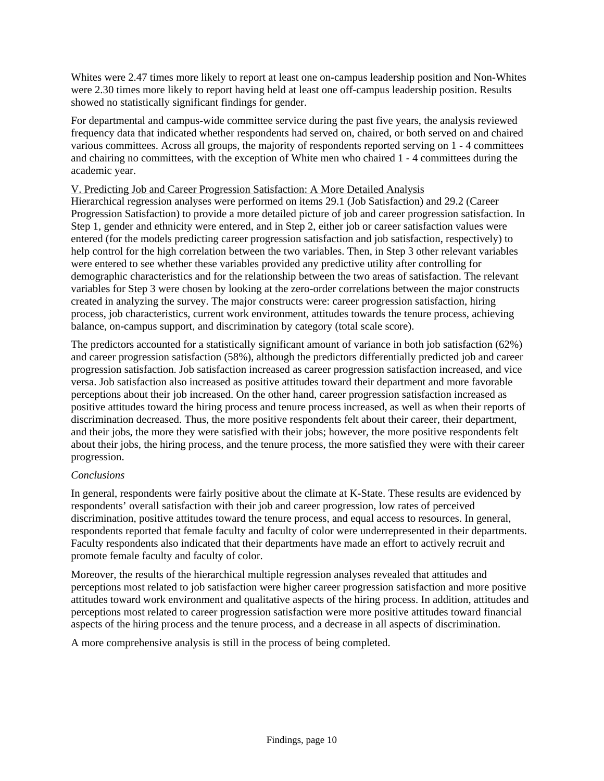Whites were 2.47 times more likely to report at least one on-campus leadership position and Non-Whites were 2.30 times more likely to report having held at least one off-campus leadership position. Results showed no statistically significant findings for gender.

For departmental and campus-wide committee service during the past five years, the analysis reviewed frequency data that indicated whether respondents had served on, chaired, or both served on and chaired various committees. Across all groups, the majority of respondents reported serving on 1 - 4 committees and chairing no committees, with the exception of White men who chaired 1 - 4 committees during the academic year.

#### V. Predicting Job and Career Progression Satisfaction: A More Detailed Analysis

Hierarchical regression analyses were performed on items 29.1 (Job Satisfaction) and 29.2 (Career Progression Satisfaction) to provide a more detailed picture of job and career progression satisfaction. In Step 1, gender and ethnicity were entered, and in Step 2, either job or career satisfaction values were entered (for the models predicting career progression satisfaction and job satisfaction, respectively) to help control for the high correlation between the two variables. Then, in Step 3 other relevant variables were entered to see whether these variables provided any predictive utility after controlling for demographic characteristics and for the relationship between the two areas of satisfaction. The relevant variables for Step 3 were chosen by looking at the zero-order correlations between the major constructs created in analyzing the survey. The major constructs were: career progression satisfaction, hiring process, job characteristics, current work environment, attitudes towards the tenure process, achieving balance, on-campus support, and discrimination by category (total scale score).

The predictors accounted for a statistically significant amount of variance in both job satisfaction (62%) and career progression satisfaction (58%), although the predictors differentially predicted job and career progression satisfaction. Job satisfaction increased as career progression satisfaction increased, and vice versa. Job satisfaction also increased as positive attitudes toward their department and more favorable perceptions about their job increased. On the other hand, career progression satisfaction increased as positive attitudes toward the hiring process and tenure process increased, as well as when their reports of discrimination decreased. Thus, the more positive respondents felt about their career, their department, and their jobs, the more they were satisfied with their jobs; however, the more positive respondents felt about their jobs, the hiring process, and the tenure process, the more satisfied they were with their career progression.

#### *Conclusions*

In general, respondents were fairly positive about the climate at K-State. These results are evidenced by respondents' overall satisfaction with their job and career progression, low rates of perceived discrimination, positive attitudes toward the tenure process, and equal access to resources. In general, respondents reported that female faculty and faculty of color were underrepresented in their departments. Faculty respondents also indicated that their departments have made an effort to actively recruit and promote female faculty and faculty of color.

Moreover, the results of the hierarchical multiple regression analyses revealed that attitudes and perceptions most related to job satisfaction were higher career progression satisfaction and more positive attitudes toward work environment and qualitative aspects of the hiring process. In addition, attitudes and perceptions most related to career progression satisfaction were more positive attitudes toward financial aspects of the hiring process and the tenure process, and a decrease in all aspects of discrimination.

A more comprehensive analysis is still in the process of being completed.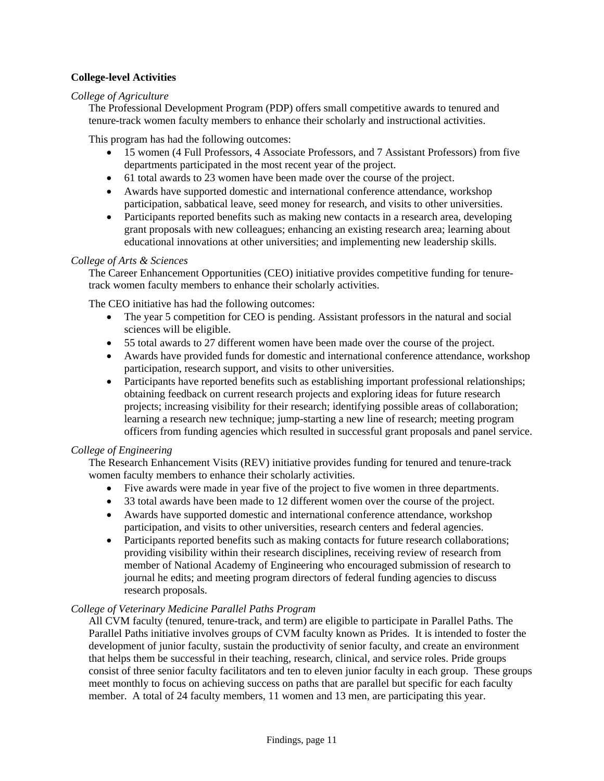# **College-level Activities**

#### *College of Agriculture*

The Professional Development Program (PDP) offers small competitive awards to tenured and tenure-track women faculty members to enhance their scholarly and instructional activities.

This program has had the following outcomes:

- 15 women (4 Full Professors, 4 Associate Professors, and 7 Assistant Professors) from five departments participated in the most recent year of the project.
- 61 total awards to 23 women have been made over the course of the project.
- Awards have supported domestic and international conference attendance, workshop participation, sabbatical leave, seed money for research, and visits to other universities.
- Participants reported benefits such as making new contacts in a research area, developing grant proposals with new colleagues; enhancing an existing research area; learning about educational innovations at other universities; and implementing new leadership skills.

#### *College of Arts & Sciences*

The Career Enhancement Opportunities (CEO) initiative provides competitive funding for tenuretrack women faculty members to enhance their scholarly activities.

The CEO initiative has had the following outcomes:

- The year 5 competition for CEO is pending. Assistant professors in the natural and social sciences will be eligible.
- 55 total awards to 27 different women have been made over the course of the project.
- Awards have provided funds for domestic and international conference attendance, workshop participation, research support, and visits to other universities.
- Participants have reported benefits such as establishing important professional relationships; obtaining feedback on current research projects and exploring ideas for future research projects; increasing visibility for their research; identifying possible areas of collaboration; learning a research new technique; jump-starting a new line of research; meeting program officers from funding agencies which resulted in successful grant proposals and panel service.

#### *College of Engineering*

The Research Enhancement Visits (REV) initiative provides funding for tenured and tenure-track women faculty members to enhance their scholarly activities.

- Five awards were made in year five of the project to five women in three departments.
- 33 total awards have been made to 12 different women over the course of the project.
- Awards have supported domestic and international conference attendance, workshop participation, and visits to other universities, research centers and federal agencies.
- Participants reported benefits such as making contacts for future research collaborations; providing visibility within their research disciplines, receiving review of research from member of National Academy of Engineering who encouraged submission of research to journal he edits; and meeting program directors of federal funding agencies to discuss research proposals.

#### *College of Veterinary Medicine Parallel Paths Program*

All CVM faculty (tenured, tenure-track, and term) are eligible to participate in Parallel Paths. The Parallel Paths initiative involves groups of CVM faculty known as Prides. It is intended to foster the development of junior faculty, sustain the productivity of senior faculty, and create an environment that helps them be successful in their teaching, research, clinical, and service roles. Pride groups consist of three senior faculty facilitators and ten to eleven junior faculty in each group. These groups meet monthly to focus on achieving success on paths that are parallel but specific for each faculty member. A total of 24 faculty members, 11 women and 13 men, are participating this year.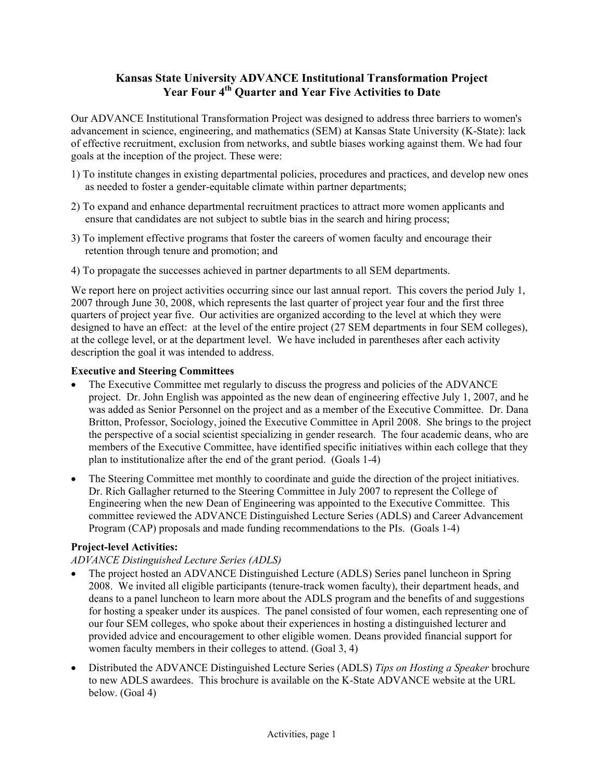# **Kansas State University ADVANCE Institutional Transformation Project Year Four 4th Quarter and Year Five Activities to Date**

Our ADVANCE Institutional Transformation Project was designed to address three barriers to women's advancement in science, engineering, and mathematics (SEM) at Kansas State University (K-State): lack of effective recruitment, exclusion from networks, and subtle biases working against them. We had four goals at the inception of the project. These were:

- 1) To institute changes in existing departmental policies, procedures and practices, and develop new ones as needed to foster a gender-equitable climate within partner departments;
- 2) To expand and enhance departmental recruitment practices to attract more women applicants and ensure that candidates are not subject to subtle bias in the search and hiring process;
- 3) To implement effective programs that foster the careers of women faculty and encourage their retention through tenure and promotion; and
- 4) To propagate the successes achieved in partner departments to all SEM departments.

We report here on project activities occurring since our last annual report. This covers the period July 1, 2007 through June 30, 2008, which represents the last quarter of project year four and the first three quarters of project year five. Our activities are organized according to the level at which they were designed to have an effect: at the level of the entire project (27 SEM departments in four SEM colleges), at the college level, or at the department level. We have included in parentheses after each activity description the goal it was intended to address.

# **Executive and Steering Committees**

- The Executive Committee met regularly to discuss the progress and policies of the ADVANCE project. Dr. John English was appointed as the new dean of engineering effective July 1, 2007, and he was added as Senior Personnel on the project and as a member of the Executive Committee. Dr. Dana Britton, Professor, Sociology, joined the Executive Committee in April 2008. She brings to the project the perspective of a social scientist specializing in gender research. The four academic deans, who are members of the Executive Committee, have identified specific initiatives within each college that they plan to institutionalize after the end of the grant period. (Goals 1-4)
- The Steering Committee met monthly to coordinate and guide the direction of the project initiatives. Dr. Rich Gallagher returned to the Steering Committee in July 2007 to represent the College of Engineering when the new Dean of Engineering was appointed to the Executive Committee. This committee reviewed the ADVANCE Distinguished Lecture Series (ADLS) and Career Advancement Program (CAP) proposals and made funding recommendations to the PIs. (Goals 1-4)

# **Project-level Activities:**

# *ADVANCE Distinguished Lecture Series (ADLS)*

- The project hosted an ADVANCE Distinguished Lecture (ADLS) Series panel luncheon in Spring 2008. We invited all eligible participants (tenure-track women faculty), their department heads, and deans to a panel luncheon to learn more about the ADLS program and the benefits of and suggestions for hosting a speaker under its auspices. The panel consisted of four women, each representing one of our four SEM colleges, who spoke about their experiences in hosting a distinguished lecturer and provided advice and encouragement to other eligible women. Deans provided financial support for women faculty members in their colleges to attend. (Goal 3, 4)
- Distributed the ADVANCE Distinguished Lecture Series (ADLS) *Tips on Hosting a Speaker* brochure to new ADLS awardees. This brochure is available on the K-State ADVANCE website at the URL below. (Goal 4)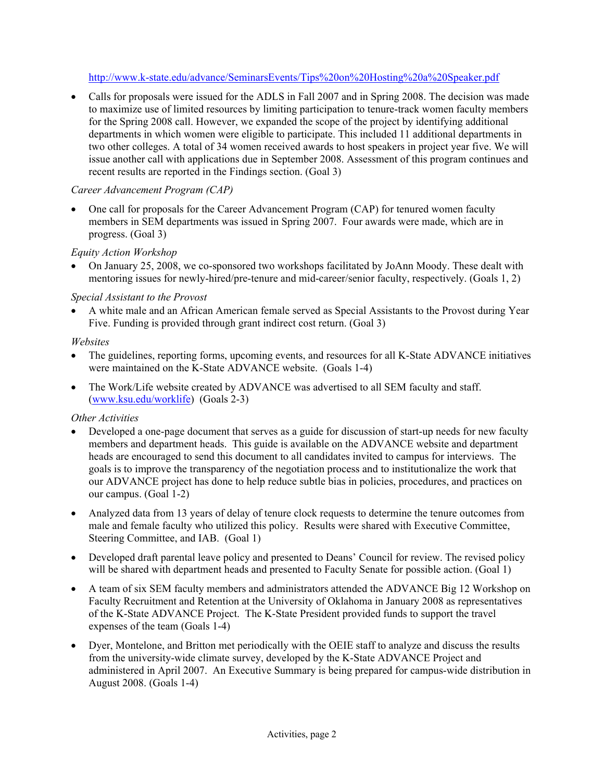<http://www.k-state.edu/advance/SeminarsEvents/Tips%20on%20Hosting%20a%20Speaker.pdf>

• Calls for proposals were issued for the ADLS in Fall 2007 and in Spring 2008. The decision was made to maximize use of limited resources by limiting participation to tenure-track women faculty members for the Spring 2008 call. However, we expanded the scope of the project by identifying additional departments in which women were eligible to participate. This included 11 additional departments in two other colleges. A total of 34 women received awards to host speakers in project year five. We will issue another call with applications due in September 2008. Assessment of this program continues and recent results are reported in the Findings section. (Goal 3)

# *Career Advancement Program (CAP)*

• One call for proposals for the Career Advancement Program (CAP) for tenured women faculty members in SEM departments was issued in Spring 2007. Four awards were made, which are in progress. (Goal 3)

# *Equity Action Workshop*

• On January 25, 2008, we co-sponsored two workshops facilitated by JoAnn Moody. These dealt with mentoring issues for newly-hired/pre-tenure and mid-career/senior faculty, respectively. (Goals 1, 2)

# *Special Assistant to the Provost*

• A white male and an African American female served as Special Assistants to the Provost during Year Five. Funding is provided through grant indirect cost return. (Goal 3)

# *Websites*

- The guidelines, reporting forms, upcoming events, and resources for all K-State ADVANCE initiatives were maintained on the K-State ADVANCE website. (Goals 1-4)
- The Work/Life website created by ADVANCE was advertised to all SEM faculty and staff. ([www.ksu.edu/worklife](http://www.ksu.edu/worklife)) (Goals 2-3)

# *Other Activities*

- Developed a one-page document that serves as a guide for discussion of start-up needs for new faculty members and department heads. This guide is available on the ADVANCE website and department heads are encouraged to send this document to all candidates invited to campus for interviews. The goals is to improve the transparency of the negotiation process and to institutionalize the work that our ADVANCE project has done to help reduce subtle bias in policies, procedures, and practices on our campus. (Goal 1-2)
- Analyzed data from 13 years of delay of tenure clock requests to determine the tenure outcomes from male and female faculty who utilized this policy. Results were shared with Executive Committee, Steering Committee, and IAB. (Goal 1)
- Developed draft parental leave policy and presented to Deans' Council for review. The revised policy will be shared with department heads and presented to Faculty Senate for possible action. (Goal 1)
- A team of six SEM faculty members and administrators attended the ADVANCE Big 12 Workshop on Faculty Recruitment and Retention at the University of Oklahoma in January 2008 as representatives of the K-State ADVANCE Project. The K-State President provided funds to support the travel expenses of the team (Goals 1-4)
- Dyer, Montelone, and Britton met periodically with the OEIE staff to analyze and discuss the results from the university-wide climate survey, developed by the K-State ADVANCE Project and administered in April 2007. An Executive Summary is being prepared for campus-wide distribution in August 2008. (Goals 1-4)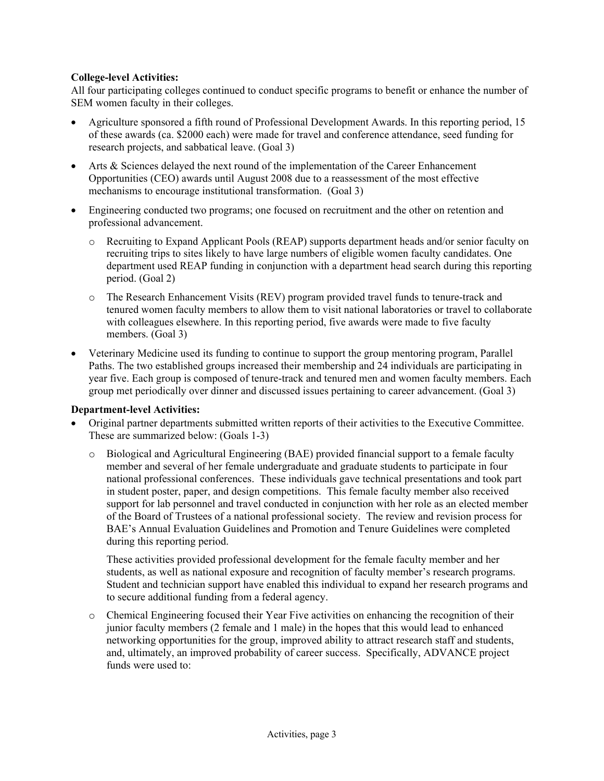# **College-level Activities:**

All four participating colleges continued to conduct specific programs to benefit or enhance the number of SEM women faculty in their colleges.

- Agriculture sponsored a fifth round of Professional Development Awards. In this reporting period, 15 of these awards (ca. \$2000 each) were made for travel and conference attendance, seed funding for research projects, and sabbatical leave. (Goal 3)
- Arts & Sciences delayed the next round of the implementation of the Career Enhancement Opportunities (CEO) awards until August 2008 due to a reassessment of the most effective mechanisms to encourage institutional transformation. (Goal 3)
- Engineering conducted two programs; one focused on recruitment and the other on retention and professional advancement.
	- o Recruiting to Expand Applicant Pools (REAP) supports department heads and/or senior faculty on recruiting trips to sites likely to have large numbers of eligible women faculty candidates. One department used REAP funding in conjunction with a department head search during this reporting period. (Goal 2)
	- o The Research Enhancement Visits (REV) program provided travel funds to tenure-track and tenured women faculty members to allow them to visit national laboratories or travel to collaborate with colleagues elsewhere. In this reporting period, five awards were made to five faculty members. (Goal 3)
- Veterinary Medicine used its funding to continue to support the group mentoring program, Parallel Paths. The two established groups increased their membership and 24 individuals are participating in year five. Each group is composed of tenure-track and tenured men and women faculty members. Each group met periodically over dinner and discussed issues pertaining to career advancement. (Goal 3)

#### **Department-level Activities:**

- Original partner departments submitted written reports of their activities to the Executive Committee. These are summarized below: (Goals 1-3)
	- o Biological and Agricultural Engineering (BAE) provided financial support to a female faculty member and several of her female undergraduate and graduate students to participate in four national professional conferences. These individuals gave technical presentations and took part in student poster, paper, and design competitions. This female faculty member also received support for lab personnel and travel conducted in conjunction with her role as an elected member of the Board of Trustees of a national professional society. The review and revision process for BAE's Annual Evaluation Guidelines and Promotion and Tenure Guidelines were completed during this reporting period.

These activities provided professional development for the female faculty member and her students, as well as national exposure and recognition of faculty member's research programs. Student and technician support have enabled this individual to expand her research programs and to secure additional funding from a federal agency.

o Chemical Engineering focused their Year Five activities on enhancing the recognition of their junior faculty members (2 female and 1 male) in the hopes that this would lead to enhanced networking opportunities for the group, improved ability to attract research staff and students, and, ultimately, an improved probability of career success. Specifically, ADVANCE project funds were used to: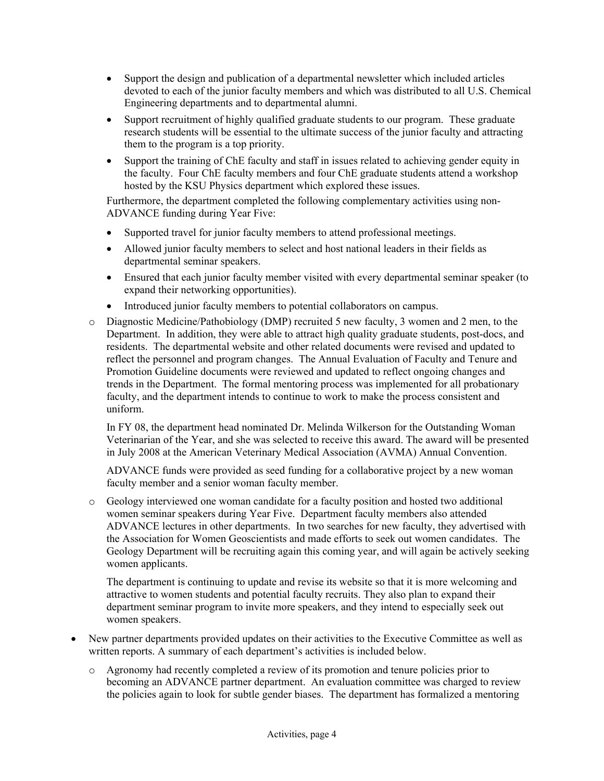- Support the design and publication of a departmental newsletter which included articles devoted to each of the junior faculty members and which was distributed to all U.S. Chemical Engineering departments and to departmental alumni.
- Support recruitment of highly qualified graduate students to our program. These graduate research students will be essential to the ultimate success of the junior faculty and attracting them to the program is a top priority.
- Support the training of ChE faculty and staff in issues related to achieving gender equity in the faculty. Four ChE faculty members and four ChE graduate students attend a workshop hosted by the KSU Physics department which explored these issues.

Furthermore, the department completed the following complementary activities using non-ADVANCE funding during Year Five:

- Supported travel for junior faculty members to attend professional meetings.
- Allowed junior faculty members to select and host national leaders in their fields as departmental seminar speakers.
- Ensured that each junior faculty member visited with every departmental seminar speaker (to expand their networking opportunities).
- Introduced junior faculty members to potential collaborators on campus.
- o Diagnostic Medicine/Pathobiology (DMP) recruited 5 new faculty, 3 women and 2 men, to the Department. In addition, they were able to attract high quality graduate students, post-docs, and residents. The departmental website and other related documents were revised and updated to reflect the personnel and program changes. The Annual Evaluation of Faculty and Tenure and Promotion Guideline documents were reviewed and updated to reflect ongoing changes and trends in the Department. The formal mentoring process was implemented for all probationary faculty, and the department intends to continue to work to make the process consistent and uniform.

In FY 08, the department head nominated Dr. Melinda Wilkerson for the Outstanding Woman Veterinarian of the Year, and she was selected to receive this award. The award will be presented in July 2008 at the American Veterinary Medical Association (AVMA) Annual Convention.

ADVANCE funds were provided as seed funding for a collaborative project by a new woman faculty member and a senior woman faculty member.

o Geology interviewed one woman candidate for a faculty position and hosted two additional women seminar speakers during Year Five. Department faculty members also attended ADVANCE lectures in other departments. In two searches for new faculty, they advertised with the Association for Women Geoscientists and made efforts to seek out women candidates. The Geology Department will be recruiting again this coming year, and will again be actively seeking women applicants.

The department is continuing to update and revise its website so that it is more welcoming and attractive to women students and potential faculty recruits. They also plan to expand their department seminar program to invite more speakers, and they intend to especially seek out women speakers.

- New partner departments provided updates on their activities to the Executive Committee as well as written reports. A summary of each department's activities is included below.
	- o Agronomy had recently completed a review of its promotion and tenure policies prior to becoming an ADVANCE partner department. An evaluation committee was charged to review the policies again to look for subtle gender biases. The department has formalized a mentoring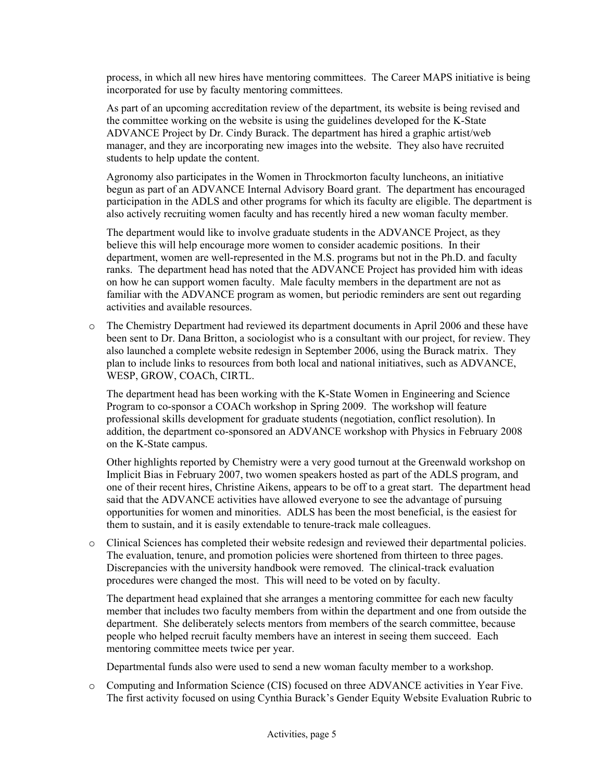process, in which all new hires have mentoring committees. The Career MAPS initiative is being incorporated for use by faculty mentoring committees.

As part of an upcoming accreditation review of the department, its website is being revised and the committee working on the website is using the guidelines developed for the K-State ADVANCE Project by Dr. Cindy Burack. The department has hired a graphic artist/web manager, and they are incorporating new images into the website. They also have recruited students to help update the content.

Agronomy also participates in the Women in Throckmorton faculty luncheons, an initiative begun as part of an ADVANCE Internal Advisory Board grant. The department has encouraged participation in the ADLS and other programs for which its faculty are eligible. The department is also actively recruiting women faculty and has recently hired a new woman faculty member.

The department would like to involve graduate students in the ADVANCE Project, as they believe this will help encourage more women to consider academic positions. In their department, women are well-represented in the M.S. programs but not in the Ph.D. and faculty ranks. The department head has noted that the ADVANCE Project has provided him with ideas on how he can support women faculty. Male faculty members in the department are not as familiar with the ADVANCE program as women, but periodic reminders are sent out regarding activities and available resources.

o The Chemistry Department had reviewed its department documents in April 2006 and these have been sent to Dr. Dana Britton, a sociologist who is a consultant with our project, for review. They also launched a complete website redesign in September 2006, using the Burack matrix. They plan to include links to resources from both local and national initiatives, such as ADVANCE, WESP, GROW, COACh, CIRTL.

The department head has been working with the K-State Women in Engineering and Science Program to co-sponsor a COACh workshop in Spring 2009. The workshop will feature professional skills development for graduate students (negotiation, conflict resolution). In addition, the department co-sponsored an ADVANCE workshop with Physics in February 2008 on the K-State campus.

Other highlights reported by Chemistry were a very good turnout at the Greenwald workshop on Implicit Bias in February 2007, two women speakers hosted as part of the ADLS program, and one of their recent hires, Christine Aikens, appears to be off to a great start. The department head said that the ADVANCE activities have allowed everyone to see the advantage of pursuing opportunities for women and minorities. ADLS has been the most beneficial, is the easiest for them to sustain, and it is easily extendable to tenure-track male colleagues.

o Clinical Sciences has completed their website redesign and reviewed their departmental policies. The evaluation, tenure, and promotion policies were shortened from thirteen to three pages. Discrepancies with the university handbook were removed. The clinical-track evaluation procedures were changed the most. This will need to be voted on by faculty.

The department head explained that she arranges a mentoring committee for each new faculty member that includes two faculty members from within the department and one from outside the department. She deliberately selects mentors from members of the search committee, because people who helped recruit faculty members have an interest in seeing them succeed. Each mentoring committee meets twice per year.

Departmental funds also were used to send a new woman faculty member to a workshop.

o Computing and Information Science (CIS) focused on three ADVANCE activities in Year Five. The first activity focused on using Cynthia Burack's Gender Equity Website Evaluation Rubric to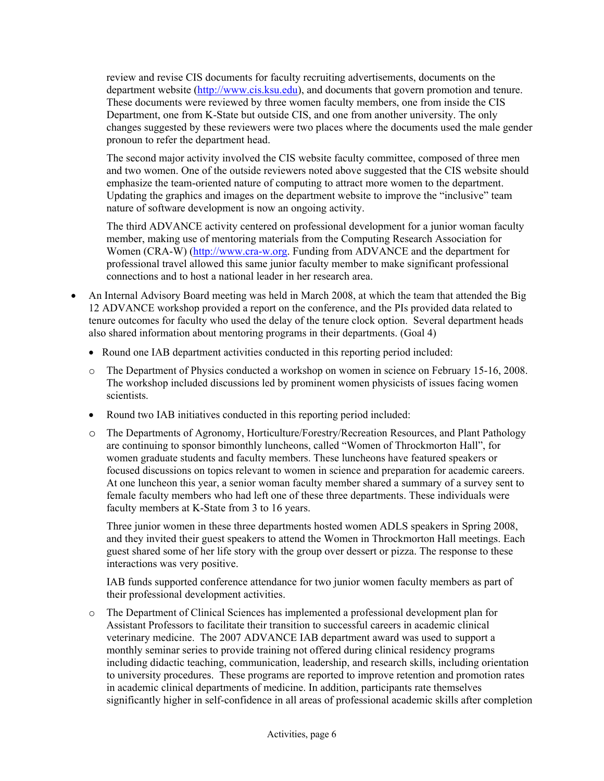review and revise CIS documents for faculty recruiting advertisements, documents on the department website [\(http://www.cis.ksu.edu\)](http://www.cis.ksu.edu/), and documents that govern promotion and tenure. These documents were reviewed by three women faculty members, one from inside the CIS Department, one from K-State but outside CIS, and one from another university. The only changes suggested by these reviewers were two places where the documents used the male gender pronoun to refer the department head.

The second major activity involved the CIS website faculty committee, composed of three men and two women. One of the outside reviewers noted above suggested that the CIS website should emphasize the team-oriented nature of computing to attract more women to the department. Updating the graphics and images on the department website to improve the "inclusive" team nature of software development is now an ongoing activity.

The third ADVANCE activity centered on professional development for a junior woman faculty member, making use of mentoring materials from the Computing Research Association for Women (CRA-W) ([http://www.cra-w.org](http://www.cra-w.org/). Funding from ADVANCE and the department for professional travel allowed this same junior faculty member to make significant professional connections and to host a national leader in her research area.

- An Internal Advisory Board meeting was held in March 2008, at which the team that attended the Big 12 ADVANCE workshop provided a report on the conference, and the PIs provided data related to tenure outcomes for faculty who used the delay of the tenure clock option. Several department heads also shared information about mentoring programs in their departments. (Goal 4)
	- Round one IAB department activities conducted in this reporting period included:
	- o The Department of Physics conducted a workshop on women in science on February 15-16, 2008. The workshop included discussions led by prominent women physicists of issues facing women scientists.
	- Round two IAB initiatives conducted in this reporting period included:
	- o The Departments of Agronomy, Horticulture/Forestry/Recreation Resources, and Plant Pathology are continuing to sponsor bimonthly luncheons, called "Women of Throckmorton Hall", for women graduate students and faculty members. These luncheons have featured speakers or focused discussions on topics relevant to women in science and preparation for academic careers. At one luncheon this year, a senior woman faculty member shared a summary of a survey sent to female faculty members who had left one of these three departments. These individuals were faculty members at K-State from 3 to 16 years.

Three junior women in these three departments hosted women ADLS speakers in Spring 2008, and they invited their guest speakers to attend the Women in Throckmorton Hall meetings. Each guest shared some of her life story with the group over dessert or pizza. The response to these interactions was very positive.

IAB funds supported conference attendance for two junior women faculty members as part of their professional development activities.

o The Department of Clinical Sciences has implemented a professional development plan for Assistant Professors to facilitate their transition to successful careers in academic clinical veterinary medicine. The 2007 ADVANCE IAB department award was used to support a monthly seminar series to provide training not offered during clinical residency programs including didactic teaching, communication, leadership, and research skills, including orientation to university procedures. These programs are reported to improve retention and promotion rates in academic clinical departments of medicine. In addition, participants rate themselves significantly higher in self-confidence in all areas of professional academic skills after completion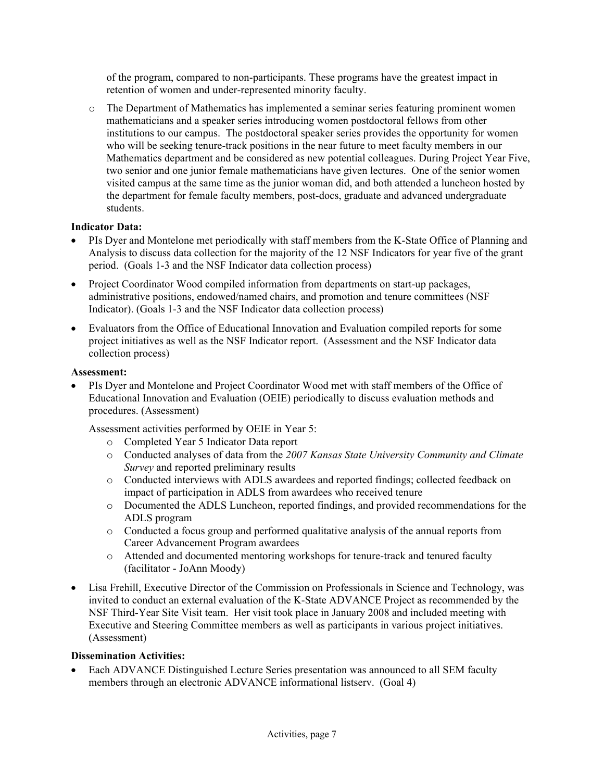of the program, compared to non-participants. These programs have the greatest impact in retention of women and under-represented minority faculty.

o The Department of Mathematics has implemented a seminar series featuring prominent women mathematicians and a speaker series introducing women postdoctoral fellows from other institutions to our campus. The postdoctoral speaker series provides the opportunity for women who will be seeking tenure-track positions in the near future to meet faculty members in our Mathematics department and be considered as new potential colleagues. During Project Year Five, two senior and one junior female mathematicians have given lectures. One of the senior women visited campus at the same time as the junior woman did, and both attended a luncheon hosted by the department for female faculty members, post-docs, graduate and advanced undergraduate students.

# **Indicator Data:**

- PIs Dyer and Montelone met periodically with staff members from the K-State Office of Planning and Analysis to discuss data collection for the majority of the 12 NSF Indicators for year five of the grant period. (Goals 1-3 and the NSF Indicator data collection process)
- Project Coordinator Wood compiled information from departments on start-up packages, administrative positions, endowed/named chairs, and promotion and tenure committees (NSF Indicator). (Goals 1-3 and the NSF Indicator data collection process)
- Evaluators from the Office of Educational Innovation and Evaluation compiled reports for some project initiatives as well as the NSF Indicator report. (Assessment and the NSF Indicator data collection process)

#### **Assessment:**

• PIs Dyer and Montelone and Project Coordinator Wood met with staff members of the Office of Educational Innovation and Evaluation (OEIE) periodically to discuss evaluation methods and procedures. (Assessment)

Assessment activities performed by OEIE in Year 5:

- o Completed Year 5 Indicator Data report
- o Conducted analyses of data from the *2007 Kansas State University Community and Climate Survey* and reported preliminary results
- o Conducted interviews with ADLS awardees and reported findings; collected feedback on impact of participation in ADLS from awardees who received tenure
- o Documented the ADLS Luncheon, reported findings, and provided recommendations for the ADLS program
- o Conducted a focus group and performed qualitative analysis of the annual reports from Career Advancement Program awardees
- o Attended and documented mentoring workshops for tenure-track and tenured faculty (facilitator - JoAnn Moody)
- Lisa Frehill, Executive Director of the Commission on Professionals in Science and Technology, was invited to conduct an external evaluation of the K-State ADVANCE Project as recommended by the NSF Third-Year Site Visit team. Her visit took place in January 2008 and included meeting with Executive and Steering Committee members as well as participants in various project initiatives. (Assessment)

#### **Dissemination Activities:**

• Each ADVANCE Distinguished Lecture Series presentation was announced to all SEM faculty members through an electronic ADVANCE informational listserv. (Goal 4)